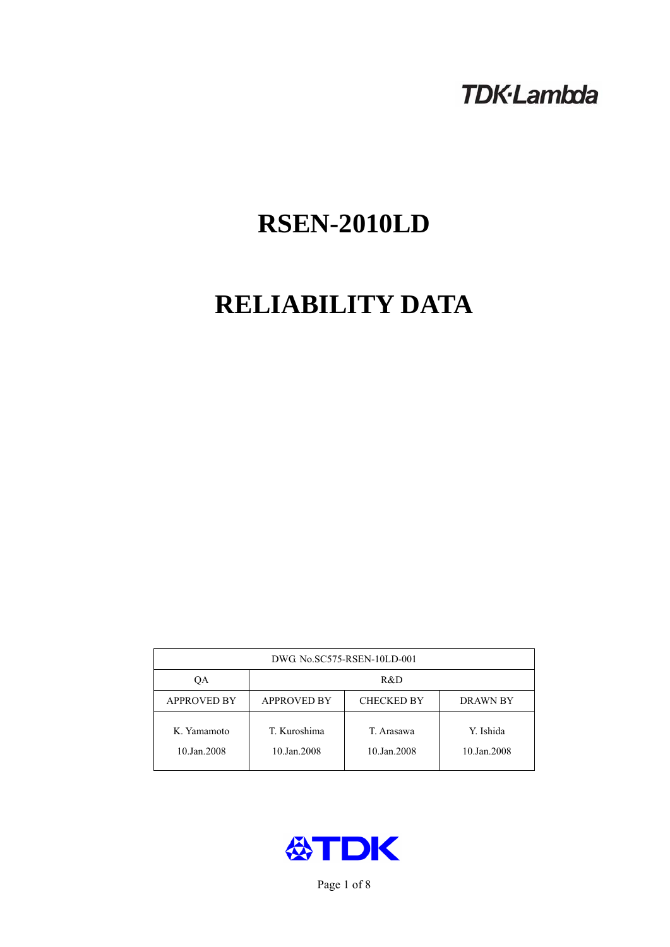## **TDK-Lambda**

# **RSEN-2010LD**

# **RELIABILITY DATA**

| DWG. No.SC575-RSEN-10LD-001 |                                                     |                           |                          |  |  |
|-----------------------------|-----------------------------------------------------|---------------------------|--------------------------|--|--|
| OА                          | R&D                                                 |                           |                          |  |  |
| <b>APPROVED BY</b>          | <b>APPROVED BY</b><br><b>CHECKED BY</b><br>DRAWN BY |                           |                          |  |  |
| K. Yamamoto<br>10.Jan.2008  | T. Kuroshima<br>10.Jan.2008                         | T. Arasawa<br>10.Jan.2008 | Y. Ishida<br>10.Jan.2008 |  |  |



Page 1 of 8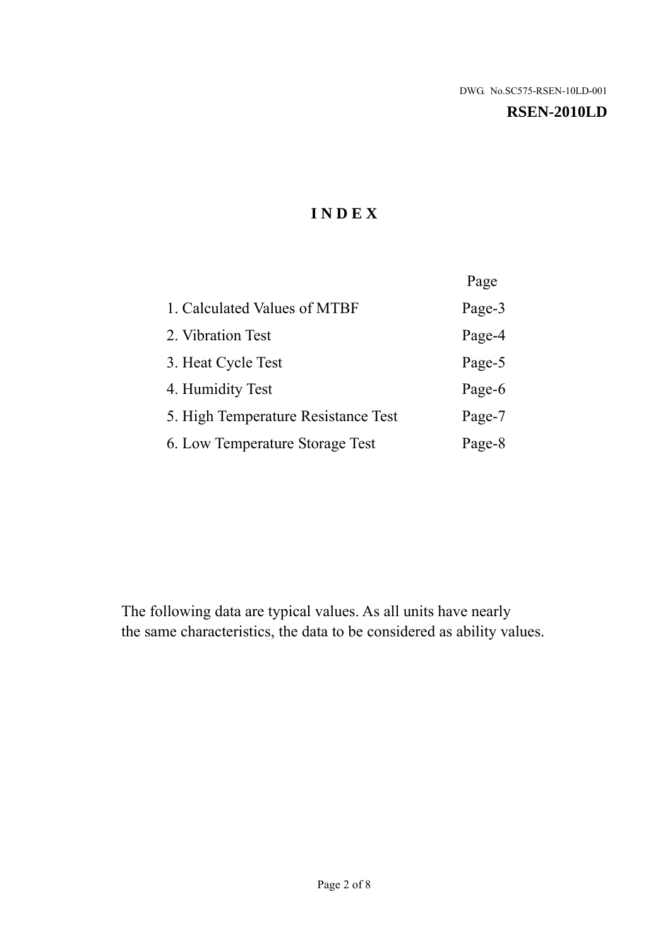#### **RSEN-2010LD**

## **I N D E X**

|                                     | Page   |
|-------------------------------------|--------|
| 1. Calculated Values of MTBF        | Page-3 |
| 2. Vibration Test                   | Page-4 |
| 3. Heat Cycle Test                  | Page-5 |
| 4. Humidity Test                    | Page-6 |
| 5. High Temperature Resistance Test | Page-7 |
| 6. Low Temperature Storage Test     | Page-8 |

The following data are typical values. As all units have nearly the same characteristics, the data to be considered as ability values.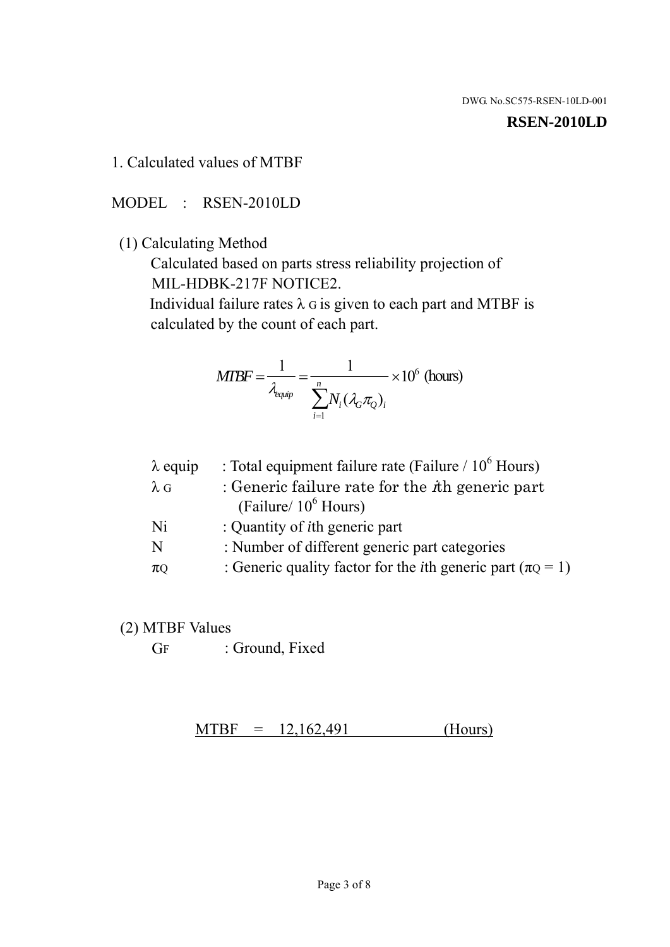#### **RSEN-2010LD**

1. Calculated values of MTBF

MODEL : RSEN-2010LD

(1) Calculating Method

 Calculated based on parts stress reliability projection of MIL-HDBK-217F NOTICE2.

Individual failure rates  $\lambda$  G is given to each part and MTBF is calculated by the count of each part.

$$
MTBF = \frac{1}{\lambda_{\text{equip}}} = \frac{1}{\sum_{i=1}^{n} N_i (\lambda_G \pi_Q)_i} \times 10^6 \text{ (hours)}
$$

| $\lambda$ equip | : Total equipment failure rate (Failure / $10^6$ Hours)                   |
|-----------------|---------------------------------------------------------------------------|
| $\lambda$ G     | : Generic failure rate for the $\hbar$ generic part                       |
|                 | (Failure/ $10^6$ Hours)                                                   |
| Ni              | : Quantity of <i>i</i> th generic part                                    |
| N               | : Number of different generic part categories                             |
| $\pi Q$         | : Generic quality factor for the <i>i</i> th generic part ( $\pi Q = 1$ ) |
|                 |                                                                           |

- (2) MTBF Values
	- GF : Ground, Fixed

 $MTBF = 12,162,491$  (Hours)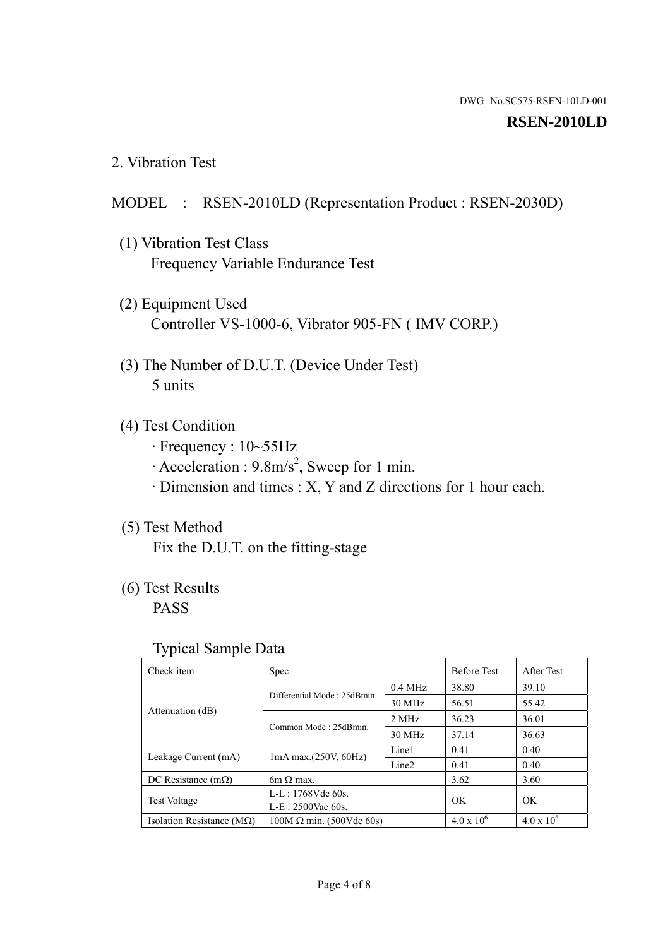#### **RSEN-2010LD**

2. Vibration Test

#### MODEL : RSEN-2010LD (Representation Product : RSEN-2030D)

- (1) Vibration Test Class Frequency Variable Endurance Test
- (2) Equipment Used Controller VS-1000-6, Vibrator 905-FN ( IMV CORP.)
- (3) The Number of D.U.T. (Device Under Test) 5 units
- (4) Test Condition
	- · Frequency : 10~55Hz
	- $\cdot$  Acceleration : 9.8m/s<sup>2</sup>, Sweep for 1 min.
	- · Dimension and times : X, Y and Z directions for 1 hour each.

## (5) Test Method

Fix the D.U.T. on the fitting-stage

## (6) Test Results

PASS

#### Typical Sample Data

| . .                           |                                                         |           |                     |                     |
|-------------------------------|---------------------------------------------------------|-----------|---------------------|---------------------|
| Check item                    | Spec.                                                   |           | <b>Before Test</b>  | After Test          |
| Attenuation (dB)              | Differential Mode: 25dBmin.                             | $0.4$ MHz | 38.80               | 39.10               |
|                               |                                                         | 30 MHz    | 56.51               | 55.42               |
|                               | Common Mode: 25dBmin.                                   | 2 MHz     | 36.23               | 36.01               |
|                               |                                                         | 30 MHz    | 37.14               | 36.63               |
| Leakage Current (mA)          | Line1<br>$1mA$ max. $(250V, 60Hz)$<br>Line <sub>2</sub> |           | 0.41                | 0.40                |
|                               |                                                         | 0.41      | 0.40                |                     |
| DC Resistance $(m\Omega)$     | $6m \Omega$ max.                                        |           | 3.62                | 3.60                |
| <b>Test Voltage</b>           | $L-L: 1768Vdc$ 60s.                                     |           | OK                  | OK.                 |
|                               | $L-E$ : 2500Vac 60s.                                    |           |                     |                     |
| Isolation Resistance ( $MQ$ ) | $100M \Omega$ min. (500Vdc 60s)                         |           | $4.0 \times 10^{6}$ | $4.0 \times 10^{6}$ |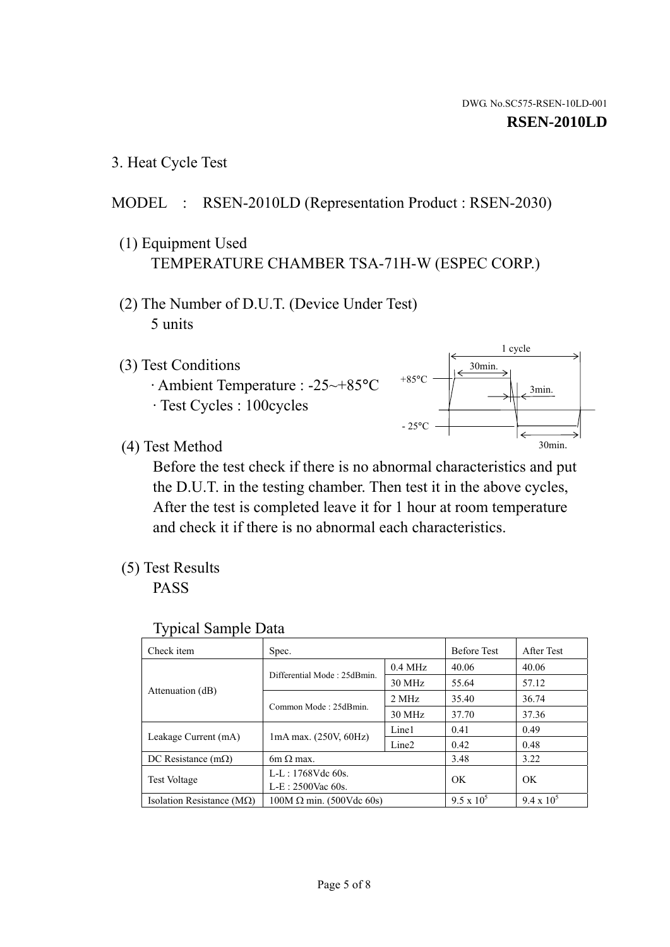1 cycle

30min.

3min.

30min.

3. Heat Cycle Test

## MODEL : RSEN-2010LD (Representation Product : RSEN-2030)

- (1) Equipment Used TEMPERATURE CHAMBER TSA-71H-W (ESPEC CORP.)
- (2) The Number of D.U.T. (Device Under Test) 5 units
- (3) Test Conditions
	- · Ambient Temperature : -25~+85°C · Test Cycles : 100cycles
- (4) Test Method

 Before the test check if there is no abnormal characteristics and put the D.U.T. in the testing chamber. Then test it in the above cycles, After the test is completed leave it for 1 hour at room temperature and check it if there is no abnormal each characteristics.

 $+85$ °C

 $-25^{\circ}$ C

(5) Test Results

PASS

| <b>Typical Sample Data</b> |  |
|----------------------------|--|
|                            |  |

| Check item                         | Spec.                           |                   | <b>Before Test</b> | After Test        |
|------------------------------------|---------------------------------|-------------------|--------------------|-------------------|
|                                    | Differential Mode: 25dBmin.     | $0.4$ MHz         | 40.06              | 40.06             |
|                                    |                                 | 30 MHz            | 55.64              | 57.12             |
| Attenuation (dB)                   | Common Mode: 25dBmin.           | 2 MHz             | 35.40              | 36.74             |
|                                    |                                 | 30 MHz            | 37.70              | 37.36             |
| Leakage Current (mA)               | $1mA$ max. $(250V, 60Hz)$       | Line1             | 0.41               | 0.49              |
|                                    |                                 | Line <sub>2</sub> | 0.42               | 0.48              |
| DC Resistance $(m\Omega)$          | 6m $\Omega$ max.                |                   | 3.48               | 3.22              |
| <b>Test Voltage</b>                | $L-L: 1768Vdc$ 60s.             |                   | OK                 | OK                |
|                                    | $L-E: 2500$ Vac 60s.            |                   |                    |                   |
| Isolation Resistance ( $M\Omega$ ) | $100M \Omega$ min. (500Vdc 60s) |                   | $9.5 \times 10^5$  | $9.4 \times 10^5$ |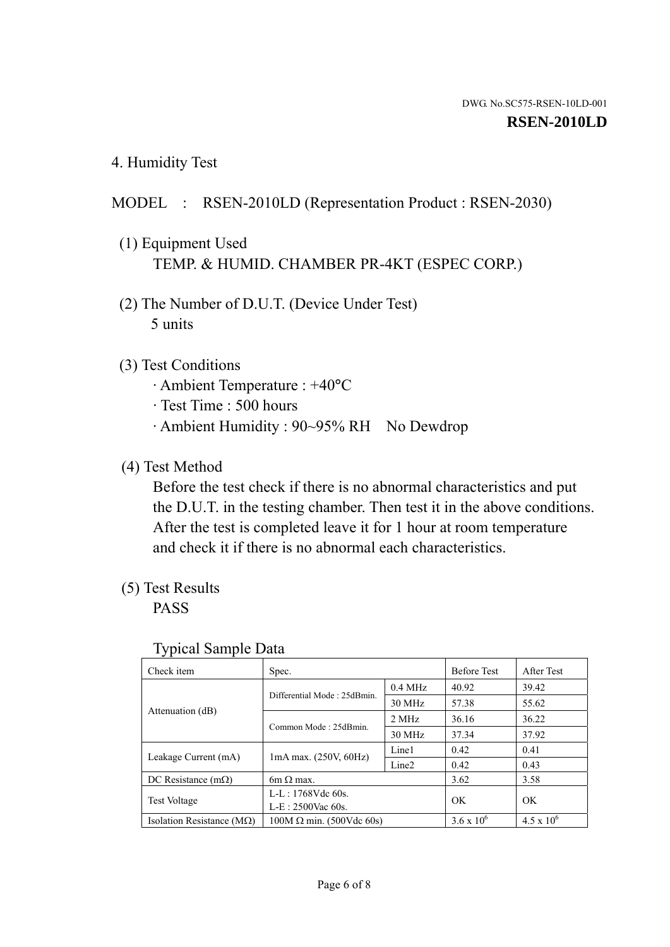4. Humidity Test

## MODEL : RSEN-2010LD (Representation Product : RSEN-2030)

- (1) Equipment Used TEMP. & HUMID. CHAMBER PR-4KT (ESPEC CORP.)
- (2) The Number of D.U.T. (Device Under Test) 5 units

## (3) Test Conditions

- · Ambient Temperature : +40°C
- · Test Time : 500 hours
- · Ambient Humidity : 90~95% RH No Dewdrop

## (4) Test Method

 Before the test check if there is no abnormal characteristics and put the D.U.T. in the testing chamber. Then test it in the above conditions. After the test is completed leave it for 1 hour at room temperature and check it if there is no abnormal each characteristics.

## (5) Test Results

PASS

| ╯┸                                 |                                                         |           |                     |                     |
|------------------------------------|---------------------------------------------------------|-----------|---------------------|---------------------|
| Check item                         | Spec.                                                   |           | <b>Before Test</b>  | After Test          |
| Attenuation (dB)                   |                                                         | $0.4$ MHz | 40.92               | 39.42               |
|                                    | Differential Mode: 25dBmin.                             | 30 MHz    | 57.38               | 55.62               |
|                                    | Common Mode: 25dBmin.                                   | 2 MHz     | 36.16               | 36.22               |
|                                    |                                                         | 30 MHz    | 37.34               | 37.92               |
| Leakage Current (mA)               | Line1<br>$1mA$ max. $(250V, 60Hz)$<br>Line <sub>2</sub> |           | 0.42                | 0.41                |
|                                    |                                                         |           | 0.42                | 0.43                |
| DC Resistance $(m\Omega)$          | $6m \Omega$ max.                                        |           | 3.62                | 3.58                |
| <b>Test Voltage</b>                | $L-L: 1768Vdc$ 60s.                                     |           | OK                  | OK                  |
|                                    | $L-E$ : 2500Vac 60s.                                    |           |                     |                     |
| Isolation Resistance ( $M\Omega$ ) | $100M \Omega$ min. (500Vdc 60s)                         |           | $3.6 \times 10^{6}$ | $4.5 \times 10^{6}$ |

#### Typical Sample Data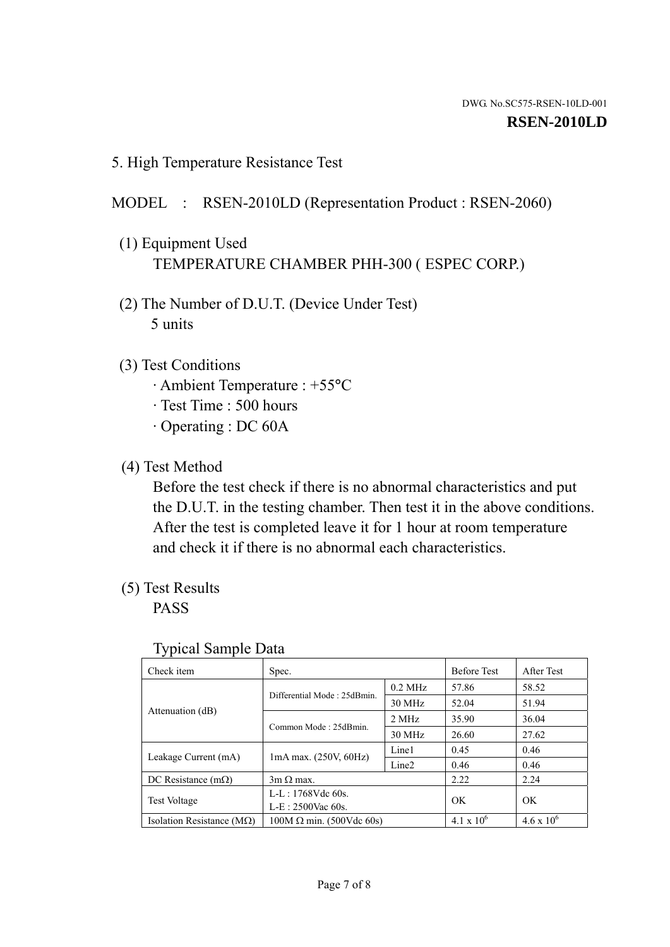5. High Temperature Resistance Test

### MODEL : RSEN-2010LD (Representation Product : RSEN-2060)

- (1) Equipment Used TEMPERATURE CHAMBER PHH-300 ( ESPEC CORP.)
- (2) The Number of D.U.T. (Device Under Test) 5 units
- (3) Test Conditions
	- · Ambient Temperature : +55°C
	- · Test Time : 500 hours
	- · Operating : DC 60A
- (4) Test Method

 Before the test check if there is no abnormal characteristics and put the D.U.T. in the testing chamber. Then test it in the above conditions. After the test is completed leave it for 1 hour at room temperature and check it if there is no abnormal each characteristics.

(5) Test Results

PASS

| ╯┸                                 |                                                         |           |                     |                     |
|------------------------------------|---------------------------------------------------------|-----------|---------------------|---------------------|
| Check item                         | Spec.                                                   |           | <b>Before Test</b>  | After Test          |
|                                    | Differential Mode: 25dBmin.                             | $0.2$ MHz | 57.86               | 58.52               |
|                                    |                                                         | 30 MHz    | 52.04               | 51.94               |
| Attenuation (dB)                   | Common Mode: 25dBmin.                                   | 2 MHz     | 35.90               | 36.04               |
|                                    |                                                         | 30 MHz    | 26.60               | 27.62               |
| Leakage Current (mA)               | Line1<br>$1mA$ max. $(250V, 60Hz)$<br>Line <sub>2</sub> |           | 0.45                | 0.46                |
|                                    |                                                         | 0.46      | 0.46                |                     |
| DC Resistance $(m\Omega)$          | $3m \Omega$ max.                                        |           | 2.22                | 2.24                |
| <b>Test Voltage</b>                | $L-L: 1768Vdc$ 60s.                                     |           | OK                  | OK                  |
|                                    | $L-E: 2500$ Vac 60s.                                    |           |                     |                     |
| Isolation Resistance ( $M\Omega$ ) | $100M \Omega$ min. (500Vdc 60s)                         |           | $4.1 \times 10^{6}$ | $4.6 \times 10^{6}$ |

#### Typical Sample Data